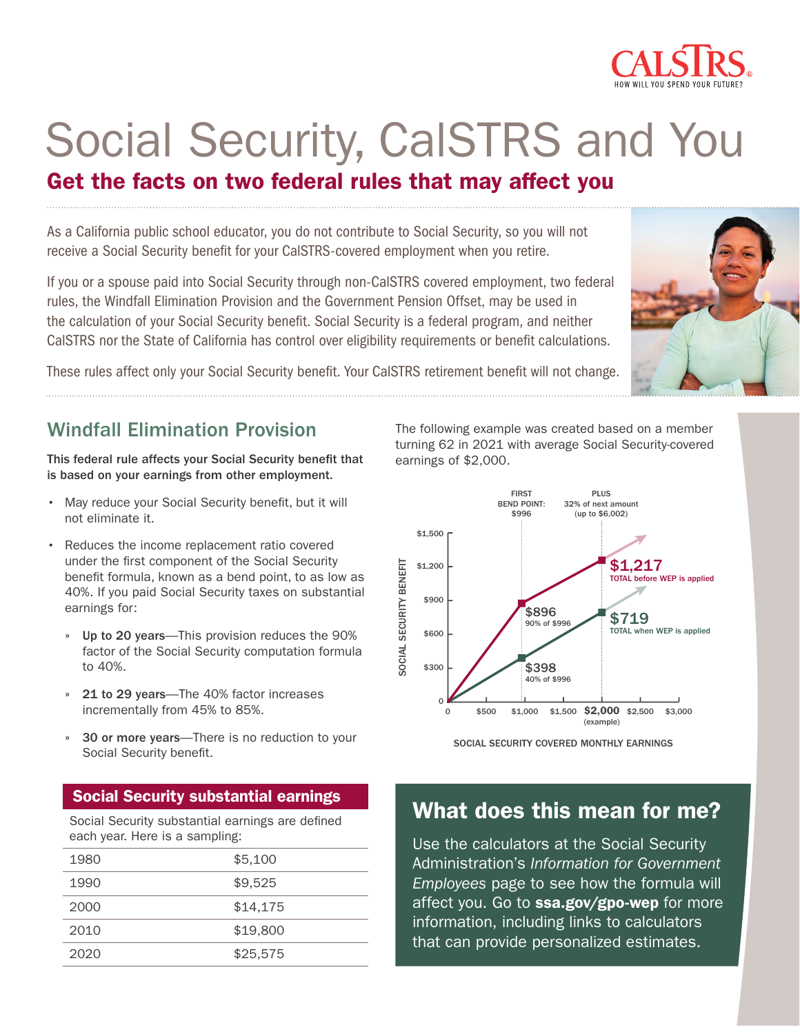

# Social Security, CalSTRS and You

# Get the facts on two federal rules that may affect you

As a California public school educator, you do not contribute to Social Security, so you will not receive a Social Security benefit for your CalSTRS-covered employment when you retire.

If you or a spouse paid into Social Security through non-CalSTRS covered employment, two federal rules, the Windfall Elimination Provision and the Government Pension Offset, may be used in the calculation of your Social Security benefit. Social Security is a federal program, and neither CalSTRS nor the State of California has control over eligibility requirements or benefit calculations.



These rules affect only your Social Security benefit. Your CalSTRS retirement benefit will not change.

# Windfall Elimination Provision

This federal rule affects your Social Security benefit that is based on your earnings from other employment.

- May reduce your Social Security benefit, but it will not eliminate it.
- Reduces the income replacement ratio covered under the first component of the Social Security benefit formula, known as a bend point, to as low as 40%. If you paid Social Security taxes on substantial earnings for:
	- » Up to 20 years—This provision reduces the 90% factor of the Social Security computation formula to 40%.
	- » 21 to 29 years—The 40% factor increases incrementally from 45% to 85%.
	- » 30 or more years—There is no reduction to your Social Security benefit.

## Social Security substantial earnings

Social Security substantial earnings are defined each year. Here is a sampling:

| 1980 | \$5,100  |
|------|----------|
| 1990 | \$9,525  |
| 2000 | \$14,175 |
| 2010 | \$19,800 |
| 2020 | \$25,575 |

The following example was created based on a member turning 62 in 2021 with average Social Security-covered earnings of \$2,000.



SOCIAL SECURITY COVERED MONTHLY EARNINGS

# What does this mean for me?

Use the calculators at the Social Security Administration's *Information for Government Employees* page to see how the formula will affect you. Go to [ssa.gov/gpo-wep](http://ssa.gov/gpo-wep) for more information, including links to calculators that can provide personalized estimates.